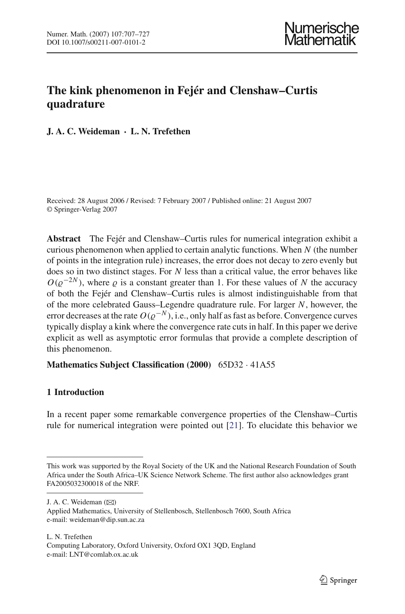# **The kink phenomenon in Fejér and Clenshaw–Curtis quadrature**

**J. A. C. Weideman · L. N. Trefethen**

Received: 28 August 2006 / Revised: 7 February 2007 / Published online: 21 August 2007 © Springer-Verlag 2007

**Abstract** The Fejér and Clenshaw–Curtis rules for numerical integration exhibit a curious phenomenon when applied to certain analytic functions. When *N* (the number of points in the integration rule) increases, the error does not decay to zero evenly but does so in two distinct stages. For *N* less than a critical value, the error behaves like  $O(\varrho^{-2N})$ , where  $\varrho$  is a constant greater than 1. For these values of *N* the accuracy of both the Fejér and Clenshaw–Curtis rules is almost indistinguishable from that of the more celebrated Gauss–Legendre quadrature rule. For larger *N*, however, the error decreases at the rate  $O(\varrho^{-N})$ , i.e., only half as fast as before. Convergence curves typically display a kink where the convergence rate cuts in half. In this paper we derive explicit as well as asymptotic error formulas that provide a complete description of this phenomenon.

**Mathematics Subject Classification (2000)** 65D32 · 41A55

## <span id="page-0-0"></span>**1 Introduction**

In a recent paper some remarkable convergence properties of the Clenshaw–Curtis rule for numerical integration were pointed out [\[21\]](#page-20-0). To elucidate this behavior we

J. A. C. Weideman ( $\boxtimes$ )

This work was supported by the Royal Society of the UK and the National Research Foundation of South Africa under the South Africa–UK Science Network Scheme. The first author also acknowledges grant FA2005032300018 of the NRF.

Applied Mathematics, University of Stellenbosch, Stellenbosch 7600, South Africa e-mail: weideman@dip.sun.ac.za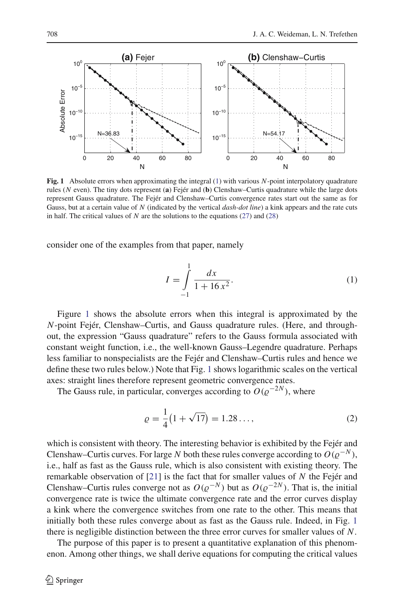

<span id="page-1-1"></span>**Fig. 1** Absolute errors when approximating the integral [\(1\)](#page-1-0) with various *N*-point interpolatory quadrature rules (*N* even). The tiny dots represent (**a**) Fejér and (**b**) Clenshaw–Curtis quadrature while the large dots represent Gauss quadrature. The Fejér and Clenshaw–Curtis convergence rates start out the same as for Gauss, but at a certain value of *N* (indicated by the vertical *dash-dot line*) a kink appears and the rate cuts in half. The critical values of *N* are the solutions to the equations [\(27\)](#page-12-0) and [\(28\)](#page-13-0)

<span id="page-1-0"></span>consider one of the examples from that paper, namely

$$
I = \int_{-1}^{1} \frac{dx}{1 + 16x^2}.
$$
 (1)

Figure [1](#page-1-1) shows the absolute errors when this integral is approximated by the *N*-point Fejér, Clenshaw–Curtis, and Gauss quadrature rules. (Here, and throughout, the expression "Gauss quadrature" refers to the Gauss formula associated with constant weight function, i.e., the well-known Gauss–Legendre quadrature. Perhaps less familiar to nonspecialists are the Fejér and Clenshaw–Curtis rules and hence we define these two rules below.) Note that Fig. [1](#page-1-1) shows logarithmic scales on the vertical axes: straight lines therefore represent geometric convergence rates.

The Gauss rule, in particular, converges according to  $O(\rho^{-2N})$ , where

$$
\varrho = \frac{1}{4} \left( 1 + \sqrt{17} \right) = 1.28 \dots,\tag{2}
$$

which is consistent with theory. The interesting behavior is exhibited by the Fejér and Clenshaw–Curtis curves. For large *N* both these rules converge according to  $O(\varrho^{-N})$ , i.e., half as fast as the Gauss rule, which is also consistent with existing theory. The remarkable observation of [\[21\]](#page-20-0) is the fact that for smaller values of *N* the Fejér and Clenshaw–Curtis rules converge not as  $O(\varrho^{-N})$  but as  $O(\varrho^{-2N})$ . That is, the initial convergence rate is twice the ultimate convergence rate and the error curves display a kink where the convergence switches from one rate to the other. This means that initially both these rules converge about as fast as the Gauss rule. Indeed, in Fig. [1](#page-1-1) there is negligible distinction between the three error curves for smaller values of *N*.

The purpose of this paper is to present a quantitative explanation of this phenomenon. Among other things, we shall derive equations for computing the critical values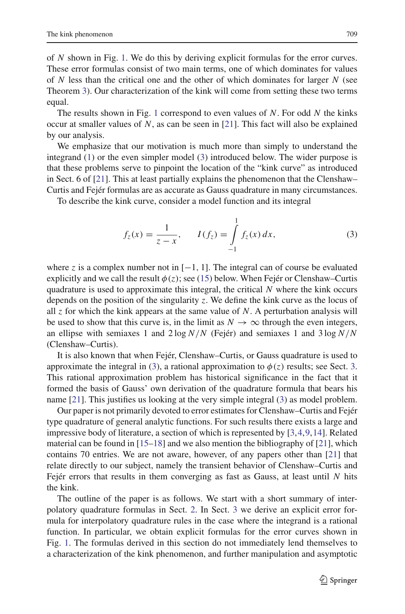of *N* shown in Fig. [1.](#page-1-1) We do this by deriving explicit formulas for the error curves. These error formulas consist of two main terms, one of which dominates for values of *N* less than the critical one and the other of which dominates for larger *N* (see Theorem [3\)](#page-13-1). Our characterization of the kink will come from setting these two terms equal.

The results shown in Fig. [1](#page-1-1) correspond to even values of *N*. For odd *N* the kinks occur at smaller values of *N*, as can be seen in [\[21\]](#page-20-0). This fact will also be explained by our analysis.

We emphasize that our motivation is much more than simply to understand the integrand [\(1\)](#page-1-0) or the even simpler model [\(3\)](#page-2-0) introduced below. The wider purpose is that these problems serve to pinpoint the location of the "kink curve" as introduced in Sect. 6 of [\[21](#page-20-0)]. This at least partially explains the phenomenon that the Clenshaw– Curtis and Fejér formulas are as accurate as Gauss quadrature in many circumstances.

<span id="page-2-0"></span>To describe the kink curve, consider a model function and its integral

$$
f_z(x) = \frac{1}{z - x}, \qquad I(f_z) = \int_{-1}^{1} f_z(x) \, dx,\tag{3}
$$

where *z* is a complex number not in  $[-1, 1]$ . The integral can of course be evaluated explicitly and we call the result  $\phi(z)$ ; see [\(15\)](#page-6-0) below. When Fejér or Clenshaw–Curtis quadrature is used to approximate this integral, the critical *N* where the kink occurs depends on the position of the singularity *z*. We define the kink curve as the locus of all *z* for which the kink appears at the same value of *N*. A perturbation analysis will be used to show that this curve is, in the limit as  $N \to \infty$  through the even integers, an ellipse with semiaxes 1 and 2 log *N*/*N* (Fejér) and semiaxes 1 and 3 log *N*/*N* (Clenshaw–Curtis).

It is also known that when Fejér, Clenshaw–Curtis, or Gauss quadrature is used to approximate the integral in [\(3\)](#page-2-0), a rational approximation to  $\phi(z)$  results; see Sect. [3.](#page-4-0) This rational approximation problem has historical significance in the fact that it formed the basis of Gauss' own derivation of the quadrature formula that bears his name [\[21](#page-20-0)]. This justifies us looking at the very simple integral [\(3\)](#page-2-0) as model problem.

Our paper is not primarily devoted to error estimates for Clenshaw–Curtis and Fejér type quadrature of general analytic functions. For such results there exists a large and impressive body of literature, a section of which is represented by [\[3](#page-19-0)[,4](#page-19-1)[,9](#page-19-2),[14\]](#page-19-3). Related material can be found in  $[15-18]$  $[15-18]$  and we also mention the bibliography of  $[21]$ , which contains 70 entries. We are not aware, however, of any papers other than [\[21](#page-20-0)] that relate directly to our subject, namely the transient behavior of Clenshaw–Curtis and Fejér errors that results in them converging as fast as Gauss, at least until *N* hits the kink.

The outline of the paper is as follows. We start with a short summary of interpolatory quadrature formulas in Sect. [2.](#page-3-0) In Sect. [3](#page-4-0) we derive an explicit error formula for interpolatory quadrature rules in the case where the integrand is a rational function. In particular, we obtain explicit formulas for the error curves shown in Fig. [1.](#page-1-1) The formulas derived in this section do not immediately lend themselves to a characterization of the kink phenomenon, and further manipulation and asymptotic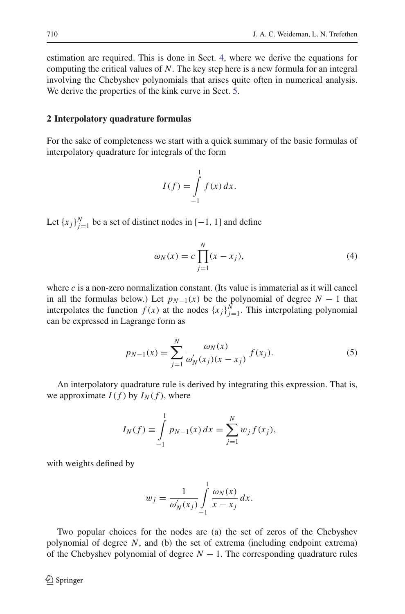estimation are required. This is done in Sect. [4,](#page-8-0) where we derive the equations for computing the critical values of *N*. The key step here is a new formula for an integral involving the Chebyshev polynomials that arises quite often in numerical analysis. We derive the properties of the kink curve in Sect. [5.](#page-14-0)

## <span id="page-3-0"></span>**2 Interpolatory quadrature formulas**

For the sake of completeness we start with a quick summary of the basic formulas of interpolatory quadrature for integrals of the form

$$
I(f) = \int_{-1}^{1} f(x) dx.
$$

Let  ${x_j}_{j=1}^N$  be a set of distinct nodes in [−1, 1] and define

$$
\omega_N(x) = c \prod_{j=1}^N (x - x_j),\tag{4}
$$

<span id="page-3-1"></span>where  $c$  is a non-zero normalization constant. (Its value is immaterial as it will cancel in all the formulas below.) Let  $p_{N-1}(x)$  be the polynomial of degree  $N-1$  that interpolates the function  $f(x)$  at the nodes  $\{x_j\}_{j=1}^N$ . This interpolating polynomial can be expressed in Lagrange form as

$$
p_{N-1}(x) = \sum_{j=1}^{N} \frac{\omega_N(x)}{\omega'_N(x_j)(x - x_j)} f(x_j).
$$
 (5)

<span id="page-3-2"></span>An interpolatory quadrature rule is derived by integrating this expression. That is, we approximate  $I(f)$  by  $I_N(f)$ , where

$$
I_N(f) \equiv \int_{-1}^1 p_{N-1}(x) \, dx = \sum_{j=1}^N w_j f(x_j),
$$

with weights defined by

$$
w_j = \frac{1}{\omega'_N(x_j)} \int\limits_{-1}^1 \frac{\omega_N(x)}{x - x_j} dx.
$$

Two popular choices for the nodes are (a) the set of zeros of the Chebyshev polynomial of degree *N*, and (b) the set of extrema (including endpoint extrema) of the Chebyshev polynomial of degree  $N - 1$ . The corresponding quadrature rules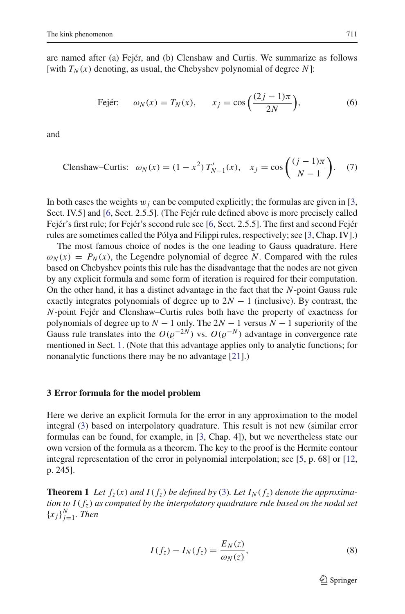are named after (a) Fejér, and (b) Clenshaw and Curtis. We summarize as follows [with  $T_N(x)$  denoting, as usual, the Chebyshev polynomial of degree N]:

Fejér: 
$$
\omega_N(x) = T_N(x),
$$
  $x_j = \cos\left(\frac{(2j-1)\pi}{2N}\right),$  (6)

<span id="page-4-3"></span><span id="page-4-2"></span>and

Clenshaw-Curtis: 
$$
\omega_N(x) = (1 - x^2) T'_{N-1}(x), \quad x_j = \cos\left(\frac{(j-1)\pi}{N-1}\right).
$$
 (7)

In both cases the weights  $w_j$  can be computed explicitly; the formulas are given in [\[3,](#page-19-0) Sect. IV.5] and [\[6](#page-19-5), Sect. 2.5.5]. (The Fejér rule defined above is more precisely called Fejér's first rule; for Fejér's second rule see [\[6,](#page-19-5) Sect. 2.5.5]. The first and second Fejér rules are sometimes called the Pólya and Filippi rules, respectively; see [\[3,](#page-19-0) Chap. IV].)

The most famous choice of nodes is the one leading to Gauss quadrature. Here  $\omega_N(x) = P_N(x)$ , the Legendre polynomial of degree *N*. Compared with the rules based on Chebyshev points this rule has the disadvantage that the nodes are not given by any explicit formula and some form of iteration is required for their computation. On the other hand, it has a distinct advantage in the fact that the *N*-point Gauss rule exactly integrates polynomials of degree up to  $2N - 1$  (inclusive). By contrast, the *N*-point Fejér and Clenshaw–Curtis rules both have the property of exactness for polynomials of degree up to  $N - 1$  only. The  $2N - 1$  versus  $N - 1$  superiority of the Gauss rule translates into the  $O(\varrho^{-2N})$  vs.  $O(\varrho^{-N})$  advantage in convergence rate mentioned in Sect. [1.](#page-0-0) (Note that this advantage applies only to analytic functions; for nonanalytic functions there may be no advantage [\[21\]](#page-20-0).)

#### <span id="page-4-0"></span>**3 Error formula for the model problem**

Here we derive an explicit formula for the error in any approximation to the model integral [\(3\)](#page-2-0) based on interpolatory quadrature. This result is not new (similar error formulas can be found, for example, in [\[3](#page-19-0), Chap. 4]), but we nevertheless state our own version of the formula as a theorem. The key to the proof is the Hermite contour integral representation of the error in polynomial interpolation; see [\[5,](#page-19-6) p. 68] or [\[12,](#page-19-7) p. 245].

<span id="page-4-4"></span>**Theorem 1** Let  $f_z(x)$  and  $I(f_z)$  be defined by [\(3\)](#page-2-0). Let  $I_N(f_z)$  denote the approxima*tion to I*( *fz*) *as computed by the interpolatory quadrature rule based on the nodal set*  ${x_j}_{j=1}^N$ *. Then* 

<span id="page-4-1"></span>
$$
I(f_z) - I_N(f_z) = \frac{E_N(z)}{\omega_N(z)},
$$
\n(8)

 $\mathcal{L}$  Springer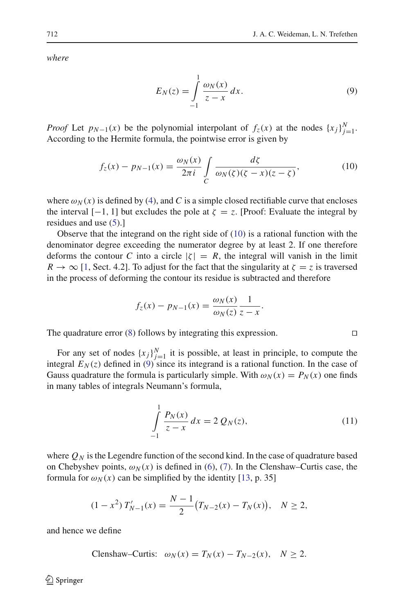<span id="page-5-1"></span>*where*

$$
E_N(z) = \int\limits_{-1}^{1} \frac{\omega_N(x)}{z - x} dx.
$$
 (9)

*Proof* Let  $p_{N-1}(x)$  be the polynomial interpolant of  $f_z(x)$  at the nodes  $\{x_j\}_{j=1}^N$ . According to the Hermite formula, the pointwise error is given by

$$
f_z(x) - p_{N-1}(x) = \frac{\omega_N(x)}{2\pi i} \int\limits_C \frac{d\zeta}{\omega_N(\zeta)(\zeta - x)(z - \zeta)},\tag{10}
$$

<span id="page-5-0"></span>where  $\omega_N(x)$  is defined by [\(4\)](#page-3-1), and C is a simple closed rectifiable curve that encloses the interval  $[-1, 1]$  but excludes the pole at  $\zeta = z$ . [Proof: Evaluate the integral by residues and use [\(5\)](#page-3-2).]

Observe that the integrand on the right side of  $(10)$  is a rational function with the denominator degree exceeding the numerator degree by at least 2. If one therefore deforms the contour *C* into a circle  $|\zeta| = R$ , the integral will vanish in the limit  $R \to \infty$  [\[1,](#page-19-8) Sect. 4.2]. To adjust for the fact that the singularity at  $\zeta = z$  is traversed in the process of deforming the contour its residue is subtracted and therefore

$$
f_z(x) - p_{N-1}(x) = \frac{\omega_N(x)}{\omega_N(z)} \frac{1}{z - x}.
$$

The quadrature error  $(8)$  follows by integrating this expression.  $\square$ 

For any set of nodes  $\{x_j\}_{j=1}^N$  it is possible, at least in principle, to compute the integral  $E_N(z)$  defined in [\(9\)](#page-5-1) since its integrand is a rational function. In the case of Gauss quadrature the formula is particularly simple. With  $\omega_N(x) = P_N(x)$  one finds in many tables of integrals Neumann's formula,

$$
\int_{-1}^{1} \frac{P_N(x)}{z - x} dx = 2 Q_N(z),
$$
\n(11)

<span id="page-5-2"></span>where  $Q_N$  is the Legendre function of the second kind. In the case of quadrature based on Chebyshev points,  $\omega_N(x)$  is defined in [\(6\)](#page-4-2), [\(7\)](#page-4-3). In the Clenshaw–Curtis case, the formula for  $\omega_N(x)$  can be simplified by the identity [\[13,](#page-19-9) p. 35]

$$
(1 - x2) T'_{N-1}(x) = \frac{N-1}{2} (T_{N-2}(x) - T_N(x)), \quad N \ge 2,
$$

and hence we define

C lenshaw-Curtis: 
$$
\omega_N(x) = T_N(x) - T_{N-2}(x), \quad N \ge 2.
$$

 $\circled{2}$  Springer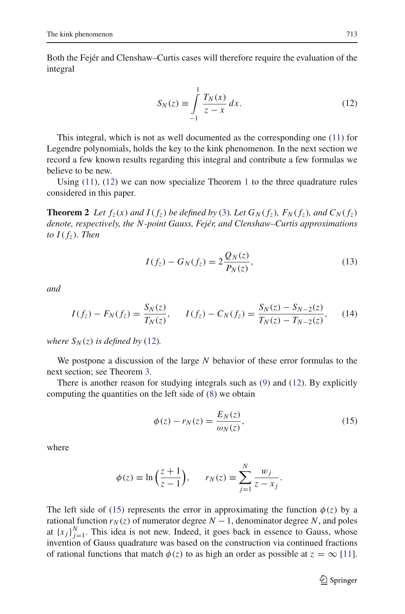Both the Fejér and Clenshaw–Curtis cases will therefore require the evaluation of the integral

$$
S_N(z) \equiv \int_{-1}^{1} \frac{T_N(x)}{z - x} \, dx. \tag{12}
$$

<span id="page-6-1"></span>This integral, which is not as well documented as the corresponding one [\(11\)](#page-5-2) for Legendre polynomials, holds the key to the kink phenomenon. In the next section we record a few known results regarding this integral and contribute a few formulas we believe to be new.

<span id="page-6-3"></span>Using [\(11\)](#page-5-2), [\(12\)](#page-6-1) we can now specialize Theorem [1](#page-4-4) to the three quadrature rules considered in this paper.

**Theorem 2** Let  $f_z(x)$  and  $I(f_z)$  be defined by [\(3\)](#page-2-0). Let  $G_N(f_z)$ ,  $F_N(f_z)$ , and  $C_N(f_z)$ *denote, respectively, the N-point Gauss, Fejér, and Clenshaw–Curtis approximations to*  $I(f_7)$ *. Then* 

$$
I(f_z) - G_N(f_z) = 2 \frac{Q_N(z)}{P_N(z)},
$$
\n(13)

<span id="page-6-2"></span>*and*

$$
I(f_z) - F_N(f_z) = \frac{S_N(z)}{T_N(z)}, \qquad I(f_z) - C_N(f_z) = \frac{S_N(z) - S_{N-2}(z)}{T_N(z) - T_{N-2}(z)},\tag{14}
$$

*where*  $S_N(z)$  *is defined by* [\(12\)](#page-6-1).

We postpone a discussion of the large *N* behavior of these error formulas to the next section; see Theorem [3.](#page-13-1)

There is another reason for studying integrals such as [\(9\)](#page-5-1) and [\(12\)](#page-6-1). By explicitly computing the quantities on the left side of [\(8\)](#page-4-1) we obtain

$$
\phi(z) - r_N(z) = \frac{E_N(z)}{\omega_N(z)},\tag{15}
$$

<span id="page-6-0"></span>where

$$
\phi(z) \equiv \ln\left(\frac{z+1}{z-1}\right), \qquad r_N(z) \equiv \sum_{j=1}^N \frac{w_j}{z-x_j}.
$$

The left side of [\(15\)](#page-6-0) represents the error in approximating the function  $\phi(z)$  by a rational function  $r_N(z)$  of numerator degree  $N-1$ , denominator degree N, and poles at  ${x_j}_{j=1}^N$ . This idea is not new. Indeed, it goes back in essence to Gauss, whose invention of Gauss quadrature was based on the construction via continued fractions of rational functions that match  $\phi(z)$  to as high an order as possible at  $z = \infty$  [\[11](#page-19-10)].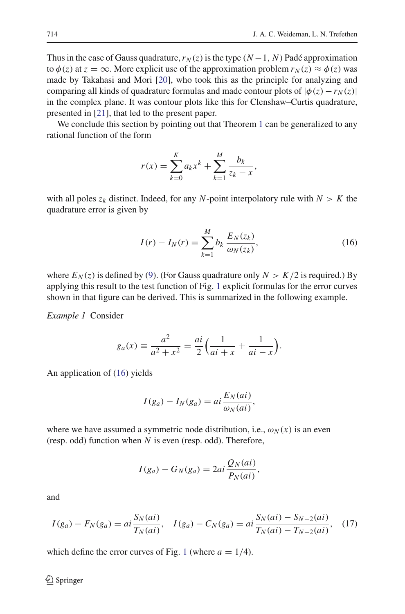Thus in the case of Gauss quadrature,  $r_N(z)$  is the type  $(N-1, N)$  Padé approximation to  $\phi(z)$  at  $z = \infty$ . More explicit use of the approximation problem  $r_N(z) \approx \phi(z)$  was made by Takahasi and Mori [\[20\]](#page-20-2), who took this as the principle for analyzing and comparing all kinds of quadrature formulas and made contour plots of  $|\phi(z) - r_N(z)|$ in the complex plane. It was contour plots like this for Clenshaw–Curtis quadrature, presented in [\[21\]](#page-20-0), that led to the present paper.

We conclude this section by pointing out that Theorem [1](#page-4-4) can be generalized to any rational function of the form

$$
r(x) = \sum_{k=0}^{K} a_k x^k + \sum_{k=1}^{M} \frac{b_k}{z_k - x},
$$

with all poles  $z_k$  distinct. Indeed, for any *N*-point interpolatory rule with  $N > K$  the quadrature error is given by

$$
I(r) - I_N(r) = \sum_{k=1}^{M} b_k \frac{E_N(z_k)}{\omega_N(z_k)},
$$
\n(16)

<span id="page-7-0"></span>where  $E_N(z)$  is defined by [\(9\)](#page-5-1). (For Gauss quadrature only  $N > K/2$  is required.) By applying this result to the test function of Fig. [1](#page-1-1) explicit formulas for the error curves shown in that figure can be derived. This is summarized in the following example.

*Example 1* Consider

$$
g_a(x) \equiv \frac{a^2}{a^2 + x^2} = \frac{ai}{2} \left( \frac{1}{ai + x} + \frac{1}{ai - x} \right).
$$

An application of [\(16\)](#page-7-0) yields

$$
I(g_a) - I_N(g_a) = ai \frac{E_N(ai)}{\omega_N(ai)},
$$

where we have assumed a symmetric node distribution, i.e.,  $\omega_N(x)$  is an even (resp. odd) function when *N* is even (resp. odd). Therefore,

$$
I(g_a) - G_N(g_a) = 2ai \frac{Q_N(ai)}{P_N(ai)},
$$

<span id="page-7-1"></span>and

$$
I(g_a) - F_N(g_a) = ai \frac{S_N(ai)}{T_N(ai)}, \quad I(g_a) - C_N(g_a) = ai \frac{S_N(ai) - S_{N-2}(ai)}{T_N(ai) - T_{N-2}(ai)}, \quad (17)
$$

which define the error curves of Fig. [1](#page-1-1) (where  $a = 1/4$ ).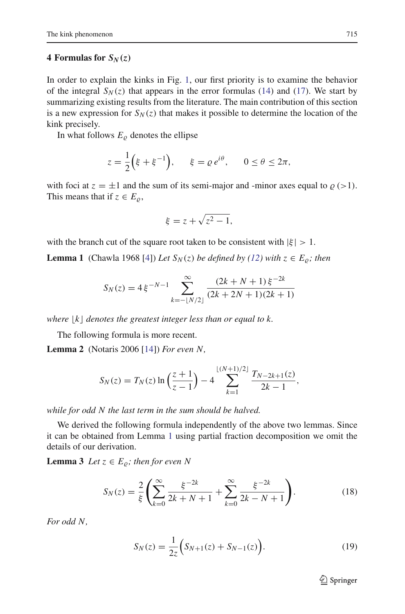## <span id="page-8-0"></span>**4 Formulas for**  $S_N(z)$

In order to explain the kinks in Fig. [1,](#page-1-1) our first priority is to examine the behavior of the integral  $S_N(z)$  that appears in the error formulas [\(14\)](#page-6-2) and [\(17\)](#page-7-1). We start by summarizing existing results from the literature. The main contribution of this section is a new expression for  $S_N(z)$  that makes it possible to determine the location of the kink precisely.

In what follows  $E<sub>o</sub>$  denotes the ellipse

$$
z = \frac{1}{2} \left( \xi + \xi^{-1} \right), \qquad \xi = \varrho \, e^{i\theta}, \qquad 0 \le \theta \le 2\pi,
$$

with foci at  $z = \pm 1$  and the sum of its semi-major and -minor axes equal to  $\rho$  (>1). This means that if  $z \in E_0$ ,

$$
\xi = z + \sqrt{z^2 - 1},
$$

<span id="page-8-1"></span>with the branch cut of the square root taken to be consistent with  $|\xi| > 1$ .

**Lemma 1** (Chawla 1968 [\[4\]](#page-19-1)) *Let*  $S_N(z)$  *be defined by [\(12\)](#page-6-1) with*  $z \in E_{\varrho}$ *; then* 

$$
S_N(z) = 4 \xi^{-N-1} \sum_{k=-\lfloor N/2 \rfloor}^{\infty} \frac{(2k+N+1)\xi^{-2k}}{(2k+2N+1)(2k+1)}
$$

where  $|k|$  denotes the greatest integer less than or equal to  $k$ .

The following formula is more recent.

**Lemma 2** (Notaris 2006 [\[14\]](#page-19-3)) *For even N,*

<span id="page-8-5"></span>
$$
S_N(z) = T_N(z) \ln \left( \frac{z+1}{z-1} \right) - 4 \sum_{k=1}^{\lfloor (N+1)/2 \rfloor} \frac{T_{N-2k+1}(z)}{2k-1},
$$

*while for odd N the last term in the sum should be halved.*

We derived the following formula independently of the above two lemmas. Since it can be obtained from Lemma [1](#page-8-1) using partial fraction decomposition we omit the details of our derivation.

<span id="page-8-3"></span><span id="page-8-2"></span>**Lemma 3** *Let*  $z \in E_o$ ; *then for even N* 

$$
S_N(z) = \frac{2}{\xi} \left( \sum_{k=0}^{\infty} \frac{\xi^{-2k}}{2k + N + 1} + \sum_{k=0}^{\infty} \frac{\xi^{-2k}}{2k - N + 1} \right).
$$
 (18)

<span id="page-8-4"></span>*For odd N,*

$$
S_N(z) = \frac{1}{2z} \Big( S_{N+1}(z) + S_{N-1}(z) \Big). \tag{19}
$$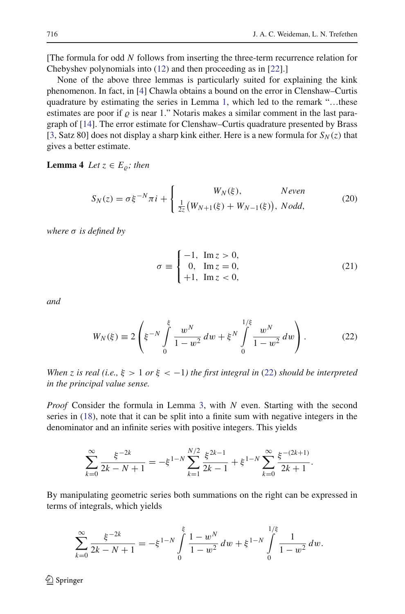[The formula for odd *N* follows from inserting the three-term recurrence relation for Chebyshev polynomials into [\(12\)](#page-6-1) and then proceeding as in [\[22\]](#page-20-3).]

None of the above three lemmas is particularly suited for explaining the kink phenomenon. In fact, in [\[4](#page-19-1)] Chawla obtains a bound on the error in Clenshaw–Curtis quadrature by estimating the series in Lemma [1,](#page-8-1) which led to the remark "…these estimates are poor if  $\rho$  is near 1." Notaris makes a similar comment in the last paragraph of [\[14\]](#page-19-3). The error estimate for Clenshaw–Curtis quadrature presented by Brass [\[3](#page-19-0), Satz 80] does not display a sharp kink either. Here is a new formula for  $S_N(z)$  that gives a better estimate.

<span id="page-9-2"></span><span id="page-9-1"></span>**Lemma 4** *Let*  $z \in E_o$ ; then

$$
S_N(z) = \sigma \xi^{-N} \pi i + \begin{cases} W_N(\xi), & \text{Neven} \\ \frac{1}{2z} (W_{N+1}(\xi) + W_{N-1}(\xi)), & \text{Nodd,} \end{cases}
$$
 (20)

<span id="page-9-3"></span>*where* σ *is defined by*

$$
\sigma \equiv \begin{cases}\n-1, & \text{Im } z > 0, \\
0, & \text{Im } z = 0, \\
+1, & \text{Im } z < 0,\n\end{cases}
$$
\n(21)

<span id="page-9-0"></span>*and*

$$
W_N(\xi) \equiv 2\left(\xi^{-N} \int\limits_0^{\xi} \frac{w^N}{1 - w^2} \, dw + \xi^N \int\limits_0^{1/\xi} \frac{w^N}{1 - w^2} \, dw\right). \tag{22}
$$

*When z is real (i.e.,*  $\xi > 1$  *or*  $\xi < -1$ *) the first integral in [\(22\)](#page-9-0) should be interpreted in the principal value sense.*

*Proof* Consider the formula in Lemma [3,](#page-8-2) with *N* even. Starting with the second series in [\(18\)](#page-8-3), note that it can be split into a finite sum with negative integers in the denominator and an infinite series with positive integers. This yields

$$
\sum_{k=0}^{\infty} \frac{\xi^{-2k}}{2k - N + 1} = -\xi^{1-N} \sum_{k=1}^{N/2} \frac{\xi^{2k-1}}{2k - 1} + \xi^{1-N} \sum_{k=0}^{\infty} \frac{\xi^{-(2k+1)}}{2k + 1}.
$$

By manipulating geometric series both summations on the right can be expressed in terms of integrals, which yields

$$
\sum_{k=0}^{\infty} \frac{\xi^{-2k}}{2k - N + 1} = -\xi^{1-N} \int_{0}^{\xi} \frac{1 - w^N}{1 - w^2} dw + \xi^{1-N} \int_{0}^{1/\xi} \frac{1}{1 - w^2} dw.
$$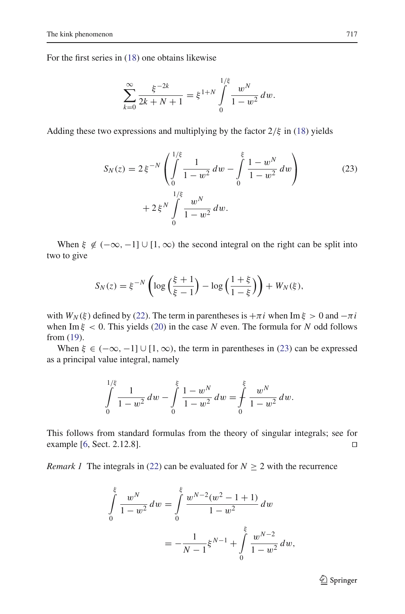For the first series in [\(18\)](#page-8-3) one obtains likewise

$$
\sum_{k=0}^{\infty} \frac{\xi^{-2k}}{2k+N+1} = \xi^{1+N} \int_{0}^{1/\xi} \frac{w^N}{1-w^2} dw.
$$

<span id="page-10-0"></span>Adding these two expressions and multiplying by the factor  $2/\xi$  in [\(18\)](#page-8-3) yields

$$
S_N(z) = 2\xi^{-N} \left( \int_0^{1/\xi} \frac{1}{1 - w^2} dw - \int_0^{\xi} \frac{1 - w^N}{1 - w^2} dw \right) \tag{23}
$$

$$
+ 2\xi^N \int_0^{1/\xi} \frac{w^N}{1 - w^2} dw.
$$

When  $\xi \notin (-\infty, -1] \cup [1, \infty)$  the second integral on the right can be split into two to give

$$
S_N(z) = \xi^{-N} \left( \log \left( \frac{\xi + 1}{\xi - 1} \right) - \log \left( \frac{1 + \xi}{1 - \xi} \right) \right) + W_N(\xi),
$$

with  $W_N(\xi)$  defined by [\(22\)](#page-9-0). The term in parentheses is  $+\pi i$  when Im  $\xi > 0$  and  $-\pi i$ when Im  $\xi$  < 0. This yields [\(20\)](#page-9-1) in the case *N* even. The formula for *N* odd follows from [\(19\)](#page-8-4).

When  $\xi \in (-\infty, -1] \cup [1, \infty)$ , the term in parentheses in [\(23\)](#page-10-0) can be expressed as a principal value integral, namely

$$
\int_{0}^{1/\xi} \frac{1}{1 - w^2} \, dw - \int_{0}^{\xi} \frac{1 - w^N}{1 - w^2} \, dw = \int_{0}^{\xi} \frac{w^N}{1 - w^2} \, dw.
$$

This follows from standard formulas from the theory of singular integrals; see for example  $[6, Sect. 2.12.8].$  $[6, Sect. 2.12.8].$ 

<span id="page-10-1"></span>*Remark 1* The integrals in [\(22\)](#page-9-0) can be evaluated for  $N \ge 2$  with the recurrence

$$
\int_{0}^{\xi} \frac{w^{N}}{1 - w^{2}} dw = \int_{0}^{\xi} \frac{w^{N-2}(w^{2} - 1 + 1)}{1 - w^{2}} dw
$$

$$
= -\frac{1}{N - 1} \xi^{N-1} + \int_{0}^{\xi} \frac{w^{N-2}}{1 - w^{2}} dw,
$$

<sup>2</sup> Springer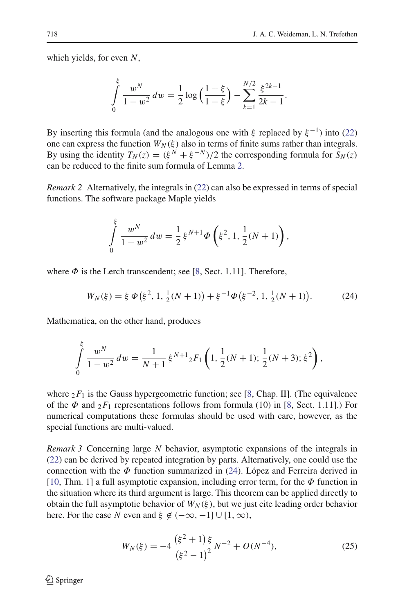which yields, for even *N*,

$$
\int_{0}^{\xi} \frac{w^{N}}{1 - w^{2}} dw = \frac{1}{2} \log \left( \frac{1 + \xi}{1 - \xi} \right) - \sum_{k=1}^{N/2} \frac{\xi^{2k - 1}}{2k - 1}.
$$

By inserting this formula (and the analogous one with  $\xi$  replaced by  $\xi^{-1}$ ) into [\(22\)](#page-9-0) one can express the function  $W_N(\xi)$  also in terms of finite sums rather than integrals. By using the identity  $T_N(z) = (\xi^N + \xi^{-N})/2$  the corresponding formula for  $S_N(z)$ can be reduced to the finite sum formula of Lemma [2.](#page-8-5)

<span id="page-11-1"></span>*Remark 2* Alternatively, the integrals in [\(22\)](#page-9-0) can also be expressed in terms of special functions. The software package Maple yields

$$
\int_{0}^{5} \frac{w^{N}}{1-w^{2}} dw = \frac{1}{2} \xi^{N+1} \Phi\left(\xi^{2}, 1, \frac{1}{2}(N+1)\right),
$$

<span id="page-11-0"></span>where  $\Phi$  is the Lerch transcendent; see [\[8](#page-19-11), Sect. 1.11]. Therefore,

$$
W_N(\xi) = \xi \Phi(\xi^2, 1, \frac{1}{2}(N+1)) + \xi^{-1} \Phi(\xi^{-2}, 1, \frac{1}{2}(N+1)).
$$
 (24)

Mathematica, on the other hand, produces

ξ

$$
\int_{0}^{\xi} \frac{w^{N}}{1-w^{2}} dw = \frac{1}{N+1} \xi^{N+1} {}_{2}F_{1}\left(1, \frac{1}{2}(N+1); \frac{1}{2}(N+3); \xi^{2}\right),
$$

where  $2F_1$  is the Gauss hypergeometric function; see [\[8](#page-19-11), Chap. II]. (The equivalence of the  $\Phi$  and  $_2F_1$  representations follows from formula (10) in [\[8](#page-19-11), Sect. 1.11].) For numerical computations these formulas should be used with care, however, as the special functions are multi-valued.

<span id="page-11-2"></span>*Remark 3* Concerning large *N* behavior, asymptotic expansions of the integrals in [\(22\)](#page-9-0) can be derived by repeated integration by parts. Alternatively, one could use the connection with the  $\Phi$  function summarized in [\(24\)](#page-11-0). López and Ferreira derived in [\[10](#page-19-12), Thm. 1] a full asymptotic expansion, including error term, for the  $\Phi$  function in the situation where its third argument is large. This theorem can be applied directly to obtain the full asymptotic behavior of  $W_N(\xi)$ , but we just cite leading order behavior here. For the case *N* even and  $\xi \notin (-\infty, -1] \cup [1, \infty)$ ,

$$
W_N(\xi) = -4 \frac{\left(\xi^2 + 1\right)\xi}{\left(\xi^2 - 1\right)^2} N^{-2} + O(N^{-4}),\tag{25}
$$

<span id="page-11-3"></span> $\bigcircled{2}$  Springer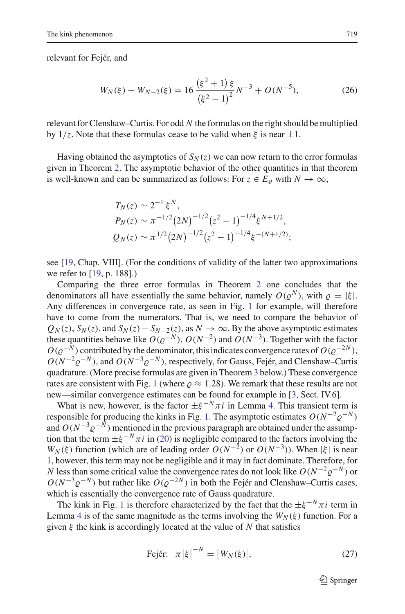<span id="page-12-1"></span>relevant for Fejér, and

$$
W_N(\xi) - W_{N-2}(\xi) = 16 \frac{\left(\xi^2 + 1\right)\xi}{\left(\xi^2 - 1\right)^2} N^{-3} + O(N^{-5}),\tag{26}
$$

relevant for Clenshaw–Curtis. For odd *N* the formulas on the right should be multiplied by  $1/z$ . Note that these formulas cease to be valid when  $\xi$  is near  $\pm 1$ .

Having obtained the asymptotics of  $S_N(z)$  we can now return to the error formulas given in Theorem [2.](#page-6-3) The asymptotic behavior of the other quantities in that theorem is well-known and can be summarized as follows: For  $z \in E_0$  with  $N \to \infty$ ,

$$
T_N(z) \sim 2^{-1} \xi^N,
$$
  
\n
$$
P_N(z) \sim \pi^{-1/2} (2N)^{-1/2} (z^2 - 1)^{-1/4} \xi^{N+1/2},
$$
  
\n
$$
Q_N(z) \sim \pi^{1/2} (2N)^{-1/2} (z^2 - 1)^{-1/4} \xi^{-(N+1/2)};
$$

see [\[19](#page-20-4), Chap. VIII]. (For the conditions of validity of the latter two approximations we refer to [\[19,](#page-20-4) p. 188].)

Comparing the three error formulas in Theorem [2](#page-6-3) one concludes that the denominators all have essentially the same behavior, namely  $O(\varrho^N)$ , with  $\varrho = |\xi|$ . Any differences in convergence rate, as seen in Fig. [1](#page-1-1) for example, will therefore have to come from the numerators. That is, we need to compare the behavior of  $Q_N(z)$ ,  $S_N(z)$ , and  $S_N(z) - S_{N-2}(z)$ , as  $N \to \infty$ . By the above asymptotic estimates these quantities behave like  $O(\varrho^{-N})$ ,  $O(N^{-2})$  and  $O(N^{-3})$ . Together with the factor  $O(\varrho^{-N})$  contributed by the denominator, this indicates convergence rates of  $O(\varrho^{-2N})$ ,  $O(N^{-2} \rho^{-N})$ , and  $O(N^{-3} \rho^{-N})$ , respectively, for Gauss, Fejér, and Clenshaw–Curtis quadrature. (More precise formulas are given in Theorem [3](#page-13-1) below.) These convergence rates are consistent with Fig. [1](#page-1-1) (where  $\rho \approx 1.28$ ). We remark that these results are not new—similar convergence estimates can be found for example in [\[3,](#page-19-0) Sect. IV.6].

What is new, however, is the factor  $\pm \xi^{-N} \pi i$  in Lemma [4.](#page-9-2) This transient term is responsible for producing the kinks in Fig. [1.](#page-1-1) The asymptotic estimates  $O(N^{-2} \rho^{-N})$ and  $O(N^{-3}\varrho^{-N})$  mentioned in the previous paragraph are obtained under the assumption that the term  $\pm \xi^{-N}\pi i$  in [\(20\)](#page-9-1) is negligible compared to the factors involving the *W<sub>N</sub>*( $\xi$ ) function (which are of leading order  $O(N^{-2})$  or  $O(N^{-3})$ ). When  $|\xi|$  is near 1, however, this term may not be negligible and it may in fact dominate. Therefore, for *N* less than some critical value the convergence rates do not look like  $O(N^{-2}\varrho^{-N})$  or  $O(N^{-3}\varrho^{-N})$  but rather like  $O(\varrho^{-2N})$  in both the Fejér and Clenshaw–Curtis cases, which is essentially the convergence rate of Gauss quadrature.

<span id="page-12-0"></span>The kink in Fig. [1](#page-1-1) is therefore characterized by the fact that the  $\pm \xi^{-N} \pi i$  term in Lemma [4](#page-9-2) is of the same magnitude as the terms involving the  $W_N(\xi)$  function. For a given ξ the kink is accordingly located at the value of *N* that satisfies

$$
\text{Fejér: } \pi \left| \xi \right|^{-N} = \left| W_N(\xi) \right|, \tag{27}
$$

 $\mathcal{D}$  Springer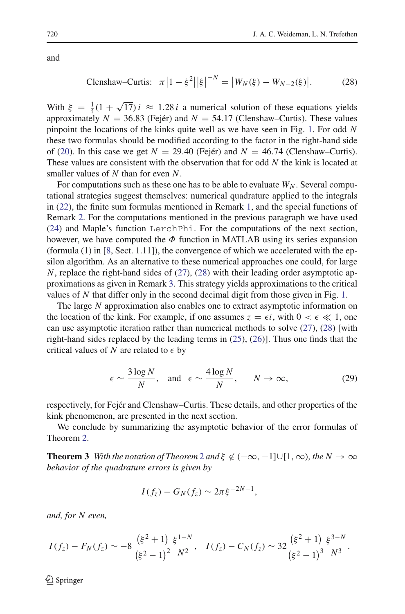and

Clenshaw-Curtis: 
$$
\pi |1 - \xi^2| |\xi|^{-N} = |W_N(\xi) - W_{N-2}(\xi)|.
$$
 (28)

<span id="page-13-0"></span>With  $\xi = \frac{1}{4}(1 + \sqrt{17})i \approx 1.28i$  a numerical solution of these equations yields approximately  $N = 36.83$  (Fejér) and  $N = 54.17$  (Clenshaw–Curtis). These values pinpoint the locations of the kinks quite well as we have seen in Fig. [1.](#page-1-1) For odd *N* these two formulas should be modified according to the factor in the right-hand side of [\(20\)](#page-9-1). In this case we get  $N = 29.40$  (Fejér) and  $N = 46.74$  (Clenshaw–Curtis). These values are consistent with the observation that for odd *N* the kink is located at smaller values of *N* than for even *N*.

For computations such as these one has to be able to evaluate  $W_N$ . Several computational strategies suggest themselves: numerical quadrature applied to the integrals in [\(22\)](#page-9-0), the finite sum formulas mentioned in Remark [1,](#page-10-1) and the special functions of Remark [2.](#page-11-1) For the computations mentioned in the previous paragraph we have used [\(24\)](#page-11-0) and Maple's function LerchPhi. For the computations of the next section, however, we have computed the  $\Phi$  function in MATLAB using its series expansion (formula  $(1)$  in [\[8](#page-19-11), Sect. 1.11]), the convergence of which we accelerated with the epsilon algorithm. As an alternative to these numerical approaches one could, for large *N*, replace the right-hand sides of [\(27\)](#page-12-0), [\(28\)](#page-13-0) with their leading order asymptotic approximations as given in Remark [3.](#page-11-2) This strategy yields approximations to the critical values of *N* that differ only in the second decimal digit from those given in Fig. [1.](#page-1-1)

The large *N* approximation also enables one to extract asymptotic information on the location of the kink. For example, if one assumes  $z = \epsilon i$ , with  $0 < \epsilon \ll 1$ , one can use asymptotic iteration rather than numerical methods to solve [\(27\)](#page-12-0), [\(28\)](#page-13-0) [with right-hand sides replaced by the leading terms in [\(25\)](#page-11-3), [\(26\)](#page-12-1)]. Thus one finds that the critical values of  $N$  are related to  $\epsilon$  by

$$
\epsilon \sim \frac{3 \log N}{N}
$$
, and  $\epsilon \sim \frac{4 \log N}{N}$ ,  $N \to \infty$ , (29)

<span id="page-13-2"></span>respectively, for Fejér and Clenshaw–Curtis. These details, and other properties of the kink phenomenon, are presented in the next section.

<span id="page-13-1"></span>We conclude by summarizing the asymptotic behavior of the error formulas of Theorem [2.](#page-6-3)

**Theorem 3** *With the notation of Theorem* [2](#page-6-3) *and*  $\xi \notin (-\infty, -1] \cup [1, \infty)$ *, the*  $N \to \infty$ *behavior of the quadrature errors is given by*

$$
I(f_z)-G_N(f_z)\sim 2\pi\xi^{-2N-1},
$$

*and, for N even,*

$$
I(f_z) - F_N(f_z) \sim -8 \frac{(\xi^2+1)}{(\xi^2-1)^2} \frac{\xi^{1-N}}{N^2}, \quad I(f_z) - C_N(f_z) \sim 32 \frac{(\xi^2+1)}{(\xi^2-1)^3} \frac{\xi^{3-N}}{N^3}.
$$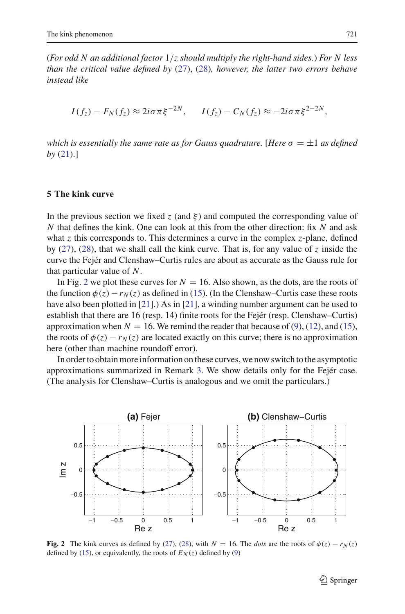(*For odd N an additional factor* 1/*z should multiply the right-hand sides.*) *For N less than the critical value defined by* [\(27\)](#page-12-0), [\(28\)](#page-13-0)*, however, the latter two errors behave instead like*

 $I(f_z) - F_N(f_z) \approx 2i\sigma\pi\xi^{-2N}$ ,  $I(f_z) - C_N(f_z) \approx -2i\sigma\pi\xi^{2-2N}$ ,

*which is essentially the same rate as for Gauss quadrature.* [*Here*  $\sigma = \pm 1$  *as defined by* [\(21\)](#page-9-3).]

## <span id="page-14-0"></span>**5 The kink curve**

In the previous section we fixed *z* (and  $\xi$ ) and computed the corresponding value of *N* that defines the kink. One can look at this from the other direction: fix *N* and ask what *z* this corresponds to. This determines a curve in the complex *z*-plane, defined by [\(27\)](#page-12-0), [\(28\)](#page-13-0), that we shall call the kink curve. That is, for any value of *z* inside the curve the Fejér and Clenshaw–Curtis rules are about as accurate as the Gauss rule for that particular value of *N*.

In Fig. [2](#page-14-1) we plot these curves for  $N = 16$ . Also shown, as the dots, are the roots of the function  $\phi(z) - r_N(z)$  as defined in [\(15\)](#page-6-0). (In the Clenshaw–Curtis case these roots have also been plotted in [\[21](#page-20-0)].) As in [\[21](#page-20-0)], a winding number argument can be used to establish that there are 16 (resp. 14) finite roots for the Fejér (resp. Clenshaw–Curtis) approximation when  $N = 16$ . We remind the reader that because of [\(9\)](#page-5-1), [\(12\)](#page-6-1), and [\(15\)](#page-6-0), the roots of  $\phi(z) - r_N(z)$  are located exactly on this curve; there is no approximation here (other than machine roundoff error).

In order to obtain more information on these curves, we now switch to the asymptotic approximations summarized in Remark [3.](#page-11-2) We show details only for the Fejér case. (The analysis for Clenshaw–Curtis is analogous and we omit the particulars.)



<span id="page-14-1"></span>**Fig. 2** The kink curves as defined by [\(27\)](#page-12-0), [\(28\)](#page-13-0), with  $N = 16$ . The *dots* are the roots of  $\phi(z) - r_N(z)$ defined by [\(15\)](#page-6-0), or equivalently, the roots of  $E<sub>N</sub>(z)$  defined by [\(9\)](#page-5-1)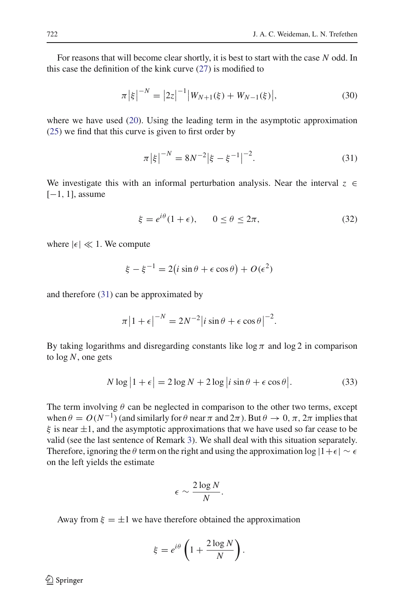For reasons that will become clear shortly, it is best to start with the case *N* odd. In this case the definition of the kink curve [\(27\)](#page-12-0) is modified to

$$
\pi |\xi|^{-N} = |2z|^{-1} |W_{N+1}(\xi) + W_{N-1}(\xi)|,
$$
\n(30)

where we have used [\(20\)](#page-9-1). Using the leading term in the asymptotic approximation [\(25\)](#page-11-3) we find that this curve is given to first order by

$$
\pi |\xi|^{-N} = 8N^{-2} |\xi - \xi^{-1}|^{-2}.
$$
\n(31)

<span id="page-15-0"></span>We investigate this with an informal perturbation analysis. Near the interval  $z \in$  $[-1, 1]$ , assume

$$
\xi = e^{i\theta}(1+\epsilon), \qquad 0 \le \theta \le 2\pi, \tag{32}
$$

<span id="page-15-1"></span>where  $|\epsilon| \ll 1$ . We compute

$$
\xi - \xi^{-1} = 2(i\sin\theta + \epsilon\cos\theta) + O(\epsilon^2)
$$

and therefore [\(31\)](#page-15-0) can be approximated by

$$
\pi |1 + \epsilon|^{-N} = 2N^{-2} |i \sin \theta + \epsilon \cos \theta|^{-2}.
$$

By taking logarithms and disregarding constants like  $\log \pi$  and  $\log 2$  in comparison to log *N*, one gets

$$
N \log |1 + \epsilon| = 2 \log N + 2 \log |i \sin \theta + \epsilon \cos \theta|.
$$
 (33)

<span id="page-15-2"></span>The term involving  $\theta$  can be neglected in comparison to the other two terms, except when  $\theta = O(N^{-1})$  (and similarly for  $\theta$  near  $\pi$  and  $2\pi$ ). But  $\theta \to 0, \pi, 2\pi$  implies that  $\xi$  is near  $\pm 1$ , and the asymptotic approximations that we have used so far cease to be valid (see the last sentence of Remark [3\)](#page-11-2). We shall deal with this situation separately. Therefore, ignoring the  $\theta$  term on the right and using the approximation log  $|1+\epsilon| \sim \epsilon$ on the left yields the estimate

$$
\epsilon \sim \frac{2\log N}{N}.
$$

Away from  $\xi = \pm 1$  we have therefore obtained the approximation

$$
\xi = e^{i\theta} \left( 1 + \frac{2 \log N}{N} \right).
$$

 $\bigcircled{2}$  Springer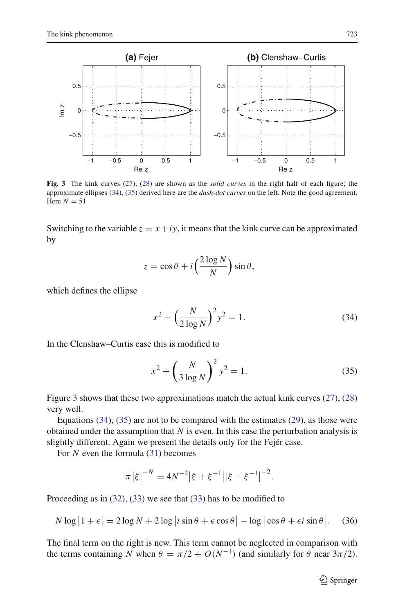

<span id="page-16-2"></span>**Fig. 3** The kink curves [\(27\)](#page-12-0), [\(28\)](#page-13-0) are shown as the *solid curves* in the right half of each figure; the approximate ellipses [\(34\)](#page-16-0), [\(35\)](#page-16-1) derived here are the *dash-dot curves* on the left. Note the good agreement. Here  $N = 51$ 

Switching to the variable  $z = x + iy$ , it means that the kink curve can be approximated by

$$
z = \cos \theta + i \left( \frac{2 \log N}{N} \right) \sin \theta,
$$

<span id="page-16-0"></span>which defines the ellipse

$$
x^{2} + \left(\frac{N}{2\log N}\right)^{2} y^{2} = 1.
$$
 (34)

In the Clenshaw–Curtis case this is modified to

$$
x^{2} + \left(\frac{N}{3\log N}\right)^{2} y^{2} = 1.
$$
 (35)

<span id="page-16-1"></span>Figure [3](#page-16-2) shows that these two approximations match the actual kink curves [\(27\)](#page-12-0), [\(28\)](#page-13-0) very well.

Equations  $(34)$ ,  $(35)$  are not to be compared with the estimates  $(29)$ , as those were obtained under the assumption that *N* is even. In this case the perturbation analysis is slightly different. Again we present the details only for the Fejér case.

For *N* even the formula [\(31\)](#page-15-0) becomes

$$
\pi |\xi|^{-N} = 4N^{-2} |\xi + \xi^{-1}| |\xi - \xi^{-1}|^{-2}.
$$

<span id="page-16-3"></span>Proceeding as in [\(32\)](#page-15-1), [\(33\)](#page-15-2) we see that [\(33\)](#page-15-2) has to be modified to

$$
N \log |1 + \epsilon| = 2 \log N + 2 \log |i \sin \theta + \epsilon \cos \theta| - \log |\cos \theta + \epsilon i \sin \theta|.
$$
 (36)

The final term on the right is new. This term cannot be neglected in comparison with the terms containing *N* when  $\theta = \pi/2 + O(N^{-1})$  (and similarly for  $\theta$  near  $3\pi/2$ ).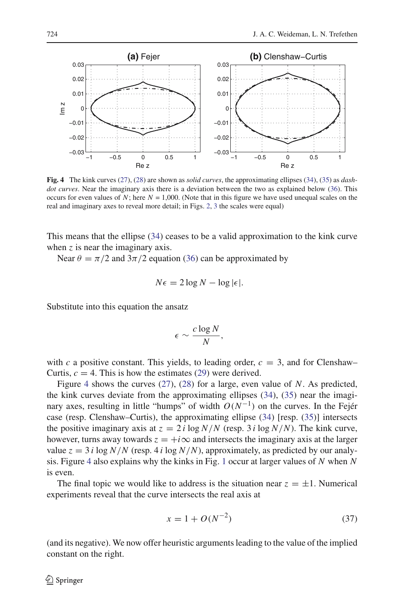

<span id="page-17-0"></span>**Fig. 4** The kink curves [\(27\)](#page-12-0), [\(28\)](#page-13-0) are shown as *solid curves*, the approximating ellipses [\(34\)](#page-16-0), [\(35\)](#page-16-1) as *dashdot curves*. Near the imaginary axis there is a deviation between the two as explained below [\(36\)](#page-16-3). This occurs for even values of *N*; here  $N = 1,000$ . (Note that in this figure we have used unequal scales on the real and imaginary axes to reveal more detail; in Figs. [2,](#page-14-1) [3](#page-16-2) the scales were equal)

This means that the ellipse [\(34\)](#page-16-0) ceases to be a valid approximation to the kink curve when *z* is near the imaginary axis.

Near  $\theta = \pi/2$  and  $3\pi/2$  equation [\(36\)](#page-16-3) can be approximated by

$$
N\epsilon = 2\log N - \log|\epsilon|.
$$

Substitute into this equation the ansatz

$$
\epsilon \sim \frac{c \log N}{N},
$$

with *c* a positive constant. This yields, to leading order,  $c = 3$ , and for Clenshaw– Curtis,  $c = 4$ . This is how the estimates [\(29\)](#page-13-2) were derived.

Figure [4](#page-17-0) shows the curves [\(27\)](#page-12-0), [\(28\)](#page-13-0) for a large, even value of *N*. As predicted, the kink curves deviate from the approximating ellipses [\(34\)](#page-16-0), [\(35\)](#page-16-1) near the imaginary axes, resulting in little "humps" of width  $O(N^{-1})$  on the curves. In the Fejér case (resp. Clenshaw–Curtis), the approximating ellipse [\(34\)](#page-16-0) [resp. [\(35\)](#page-16-1)] intersects the positive imaginary axis at  $z = 2i \log N/N$  (resp. 3 *i* log  $N/N$ ). The kink curve, however, turns away towards  $z = +i\infty$  and intersects the imaginary axis at the larger value  $z = 3 i \log N/N$  (resp. 4 *i* log  $N/N$ ), approximately, as predicted by our analysis. Figure [4](#page-17-0) also explains why the kinks in Fig. [1](#page-1-1) occur at larger values of *N* when *N* is even.

The final topic we would like to address is the situation near  $z = \pm 1$ . Numerical experiments reveal that the curve intersects the real axis at

$$
x = 1 + O(N^{-2})
$$
\n(37)

(and its negative). We now offer heuristic arguments leading to the value of the implied constant on the right.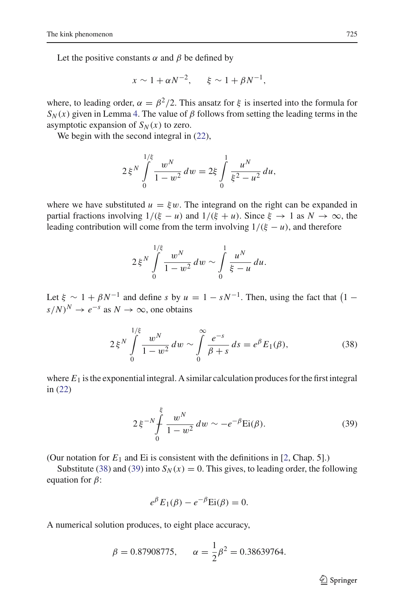Let the positive constants  $\alpha$  and  $\beta$  be defined by

$$
x \sim 1 + \alpha N^{-2}, \qquad \xi \sim 1 + \beta N^{-1},
$$

where, to leading order,  $\alpha = \beta^2/2$ . This ansatz for  $\xi$  is inserted into the formula for  $S_N(x)$  given in Lemma [4.](#page-9-2) The value of  $\beta$  follows from setting the leading terms in the asymptotic expansion of  $S_N(x)$  to zero.

We begin with the second integral in  $(22)$ ,

$$
2\xi^N \int\limits_{0}^{1/\xi} \frac{w^N}{1 - w^2} dw = 2\xi \int\limits_{0}^{1} \frac{u^N}{\xi^2 - u^2} du,
$$

where we have substituted  $u = \xi w$ . The integrand on the right can be expanded in partial fractions involving  $1/(\xi - u)$  and  $1/(\xi + u)$ . Since  $\xi \to 1$  as  $N \to \infty$ , the leading contribution will come from the term involving  $1/(\xi - u)$ , and therefore

$$
2\xi^N \int\limits_{0}^{1/\xi} \frac{w^N}{1-w^2} dw \sim \int\limits_{0}^{1} \frac{u^N}{\xi-u} du.
$$

Let  $\xi \sim 1 + \beta N^{-1}$  and define *s* by  $u = 1 - sN^{-1}$ . Then, using the fact that  $(1 - sN^{-1})$  $s/N$ <sup>*N*</sup>  $\rightarrow e^{-s}$  as  $N \rightarrow \infty$ , one obtains

$$
2\xi^N \int\limits_{0}^{1/\xi} \frac{w^N}{1 - w^2} dw \sim \int\limits_{0}^{\infty} \frac{e^{-s}}{\beta + s} ds = e^{\beta} E_1(\beta), \tag{38}
$$

<span id="page-18-0"></span>where  $E_1$  is the exponential integral. A similar calculation produces for the first integral in [\(22\)](#page-9-0)

$$
2\xi^{-N}\int_{0}^{\xi} \frac{w^N}{1-w^2} dw \sim -e^{-\beta} \text{Ei}(\beta). \tag{39}
$$

<span id="page-18-1"></span>(Our notation for  $E_1$  and Ei is consistent with the definitions in [\[2,](#page-19-13) Chap. 5].)

Substitute [\(38\)](#page-18-0) and [\(39\)](#page-18-1) into  $S_N(x) = 0$ . This gives, to leading order, the following equation for  $\beta$ :

$$
e^{\beta} E_1(\beta) - e^{-\beta} E_i(\beta) = 0.
$$

A numerical solution produces, to eight place accuracy,

$$
\beta = 0.87908775, \qquad \alpha = \frac{1}{2}\beta^2 = 0.38639764.
$$

<sup>2</sup> Springer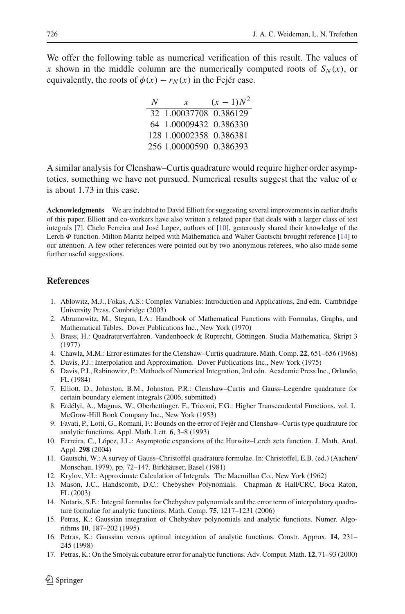We offer the following table as numerical verification of this result. The values of *x* shown in the middle column are the numerically computed roots of  $S_N(x)$ , or equivalently, the roots of  $\phi(x) - r_N(x)$  in the Fejér case.

| N | x                       | $(x - 1)N^2$ |
|---|-------------------------|--------------|
|   | 32 1.00037708 0.386129  |              |
|   | 64 1.00009432 0.386330  |              |
|   | 128 1.00002358 0.386381 |              |
|   | 256 1.00000590 0.386393 |              |

A similar analysis for Clenshaw–Curtis quadrature would require higher order asymptotics, something we have not pursued. Numerical results suggest that the value of  $\alpha$ is about 1.73 in this case.

**Acknowledgments** We are indebted to David Elliott for suggesting several improvements in earlier drafts of this paper. Elliott and co-workers have also written a related paper that deals with a larger class of test integrals [\[7](#page-19-14)]. Chelo Ferreira and José Lopez, authors of [\[10\]](#page-19-12), generously shared their knowledge of the Lerch Φ function. Milton Maritz helped with Mathematica and Walter Gautschi brought reference [\[14](#page-19-3)] to our attention. A few other references were pointed out by two anonymous referees, who also made some further useful suggestions.

## <span id="page-19-8"></span>**References**

- 1. Ablowitz, M.J., Fokas, A.S.: Complex Variables: Introduction and Applications, 2nd edn. Cambridge University Press, Cambridge (2003)
- <span id="page-19-13"></span>2. Abramowitz, M., Stegun, I.A.: Handbook of Mathematical Functions with Formulas, Graphs, and Mathematical Tables. Dover Publications Inc., New York (1970)
- <span id="page-19-0"></span>3. Brass, H.: Quadraturverfahren. Vandenhoeck & Ruprecht, Göttingen. Studia Mathematica, Skript 3 (1977)
- <span id="page-19-1"></span>4. Chawla, M.M.: Error estimates for the Clenshaw–Curtis quadrature. Math. Comp. **22**, 651–656 (1968)
- <span id="page-19-6"></span>5. Davis, P.J.: Interpolation and Approximation. Dover Publications Inc., New York (1975)
- <span id="page-19-5"></span>6. Davis, P.J., Rabinowitz, P.: Methods of Numerical Integration, 2nd edn. Academic Press Inc., Orlando, FL (1984)
- <span id="page-19-14"></span>7. Elliott, D., Johnston, B.M., Johnston, P.R.: Clenshaw–Curtis and Gauss–Legendre quadrature for certain boundary element integrals (2006, submitted)
- <span id="page-19-11"></span>8. Erdélyi, A., Magnus, W., Oberhettinger, F., Tricomi, F.G.: Higher Transcendental Functions. vol. I. McGraw-Hill Book Company Inc., New York (1953)
- <span id="page-19-2"></span>9. Favati, P., Lotti, G., Romani, F.: Bounds on the error of Fejér and Clenshaw–Curtis type quadrature for analytic functions. Appl. Math. Lett. **6**, 3–8 (1993)
- <span id="page-19-12"></span>10. Ferreira, C., López, J.L.: Asymptotic expansions of the Hurwitz–Lerch zeta function. J. Math. Anal. Appl. **298** (2004)
- <span id="page-19-10"></span>11. Gautschi, W.: A survey of Gauss–Christoffel quadrature formulae. In: Christoffel, E.B. (ed.) (Aachen/ Monschau, 1979), pp. 72–147. Birkhäuser, Basel (1981)
- <span id="page-19-7"></span>12. Krylov, V.I.: Approximate Calculation of Integrals. The Macmillan Co., New York (1962)
- <span id="page-19-9"></span>13. Mason, J.C., Handscomb, D.C.: Chebyshev Polynomials. Chapman & Hall/CRC, Boca Raton, FL (2003)
- <span id="page-19-3"></span>14. Notaris, S.E.: Integral formulas for Chebyshev polynomials and the error term of interpolatory quadrature formulae for analytic functions. Math. Comp. **75**, 1217–1231 (2006)
- <span id="page-19-4"></span>15. Petras, K.: Gaussian integration of Chebyshev polynomials and analytic functions. Numer. Algorithms **10**, 187–202 (1995)
- 16. Petras, K.: Gaussian versus optimal integration of analytic functions. Constr. Approx. **14**, 231– 245 (1998)
- 17. Petras, K.: On the Smolyak cubature error for analytic functions. Adv. Comput. Math. **12**, 71–93 (2000)